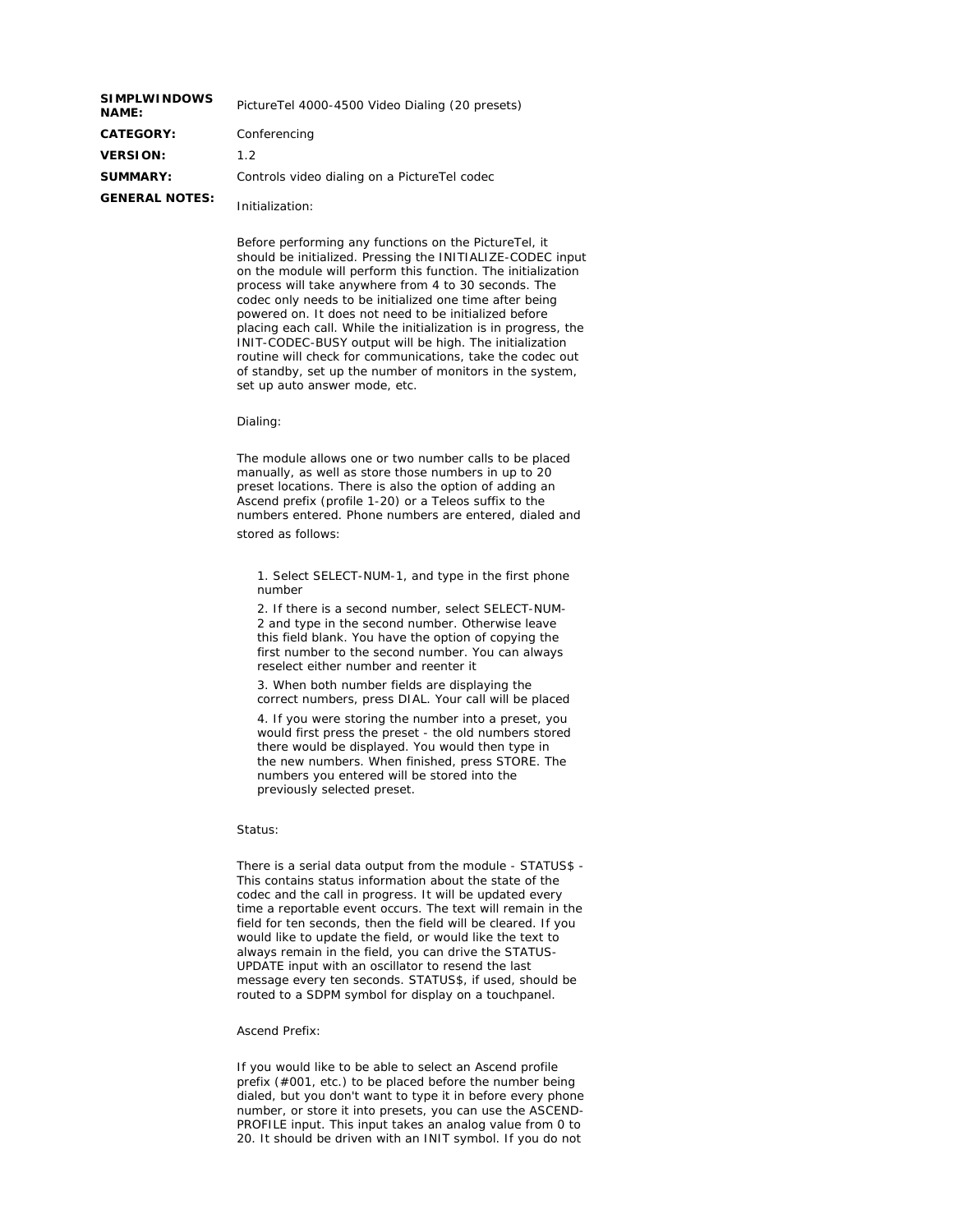| <b>SIMPLWINDOWS</b><br><b>NAME:</b> | PictureTel 4000-4500 Video Dialing (20 presets) |
|-------------------------------------|-------------------------------------------------|
| <b>CATEGORY:</b>                    | Conferencing                                    |
| <b>VERSION:</b>                     | 1.2                                             |
| <b>SUMMARY:</b>                     | Controls video dialing on a PictureTel codec    |
| <b>GENERAL NOTES:</b>               | Initialization:                                 |

Before performing any functions on the PictureTel, it should be initialized. Pressing the INITIALIZE-CODEC input on the module will perform this function. The initialization process will take anywhere from 4 to 30 seconds. The codec only needs to be initialized one time after being powered on. It does not need to be initialized before placing each call. While the initialization is in progress, the INIT-CODEC-BUSY output will be high. The initialization routine will check for communications, take the codec out of standby, set up the number of monitors in the system, set up auto answer mode, etc.

Dialing:

The module allows one or two number calls to be placed manually, as well as store those numbers in up to 20 preset locations. There is also the option of adding an Ascend prefix (profile 1-20) or a Teleos suffix to the numbers entered. Phone numbers are entered, dialed and stored as follows:

1. Select SELECT-NUM-1, and type in the first phone number

2. If there is a second number, select SELECT-NUM-2 and type in the second number. Otherwise leave this field blank. You have the option of copying the first number to the second number. You can always reselect either number and reenter it

3. When both number fields are displaying the correct numbers, press DIAL. Your call will be placed

4. If you were storing the number into a preset, you would first press the preset - the old numbers stored there would be displayed. You would then type in the new numbers. When finished, press STORE. The numbers you entered will be stored into the previously selected preset.

## Status:

There is a serial data output from the module - STATUS\$ - This contains status information about the state of the codec and the call in progress. It will be updated every time a reportable event occurs. The text will remain in the field for ten seconds, then the field will be cleared. If you would like to update the field, or would like the text to always remain in the field, you can drive the STATUS-UPDATE input with an oscillator to resend the last message every ten seconds. STATUS\$, if used, should be routed to a SDPM symbol for display on a touchpanel.

Ascend Prefix:

If you would like to be able to select an Ascend profile prefix (#001, etc.) to be placed before the number being dialed, but you don't want to type it in before every phone number, or store it into presets, you can use the ASCEND-PROFILE input. This input takes an analog value from 0 to 20. It should be driven with an INIT symbol. If you do not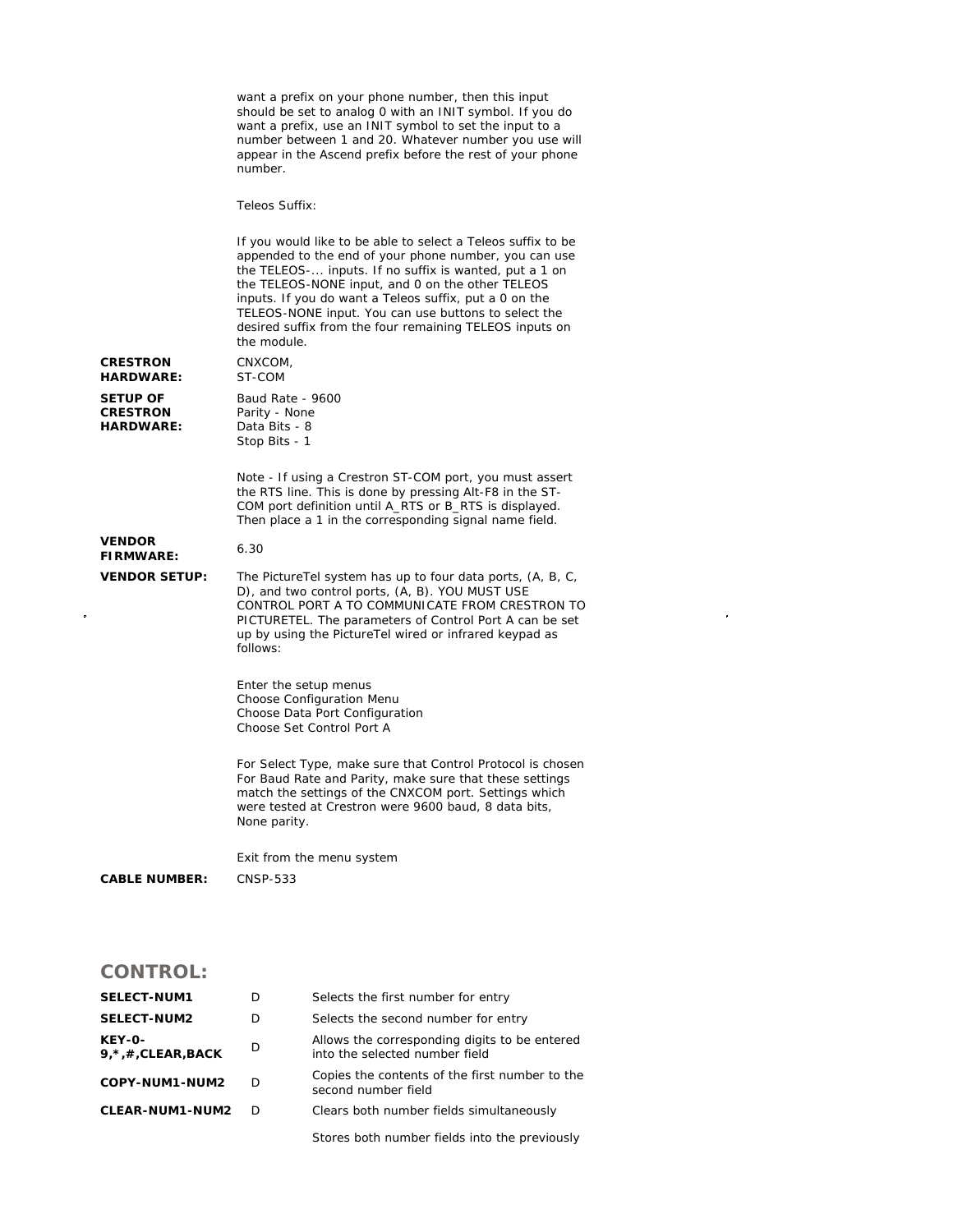|                                                        | want a prefix on your phone number, then this input<br>should be set to analog 0 with an INIT symbol. If you do<br>want a prefix, use an INIT symbol to set the input to a<br>number between 1 and 20. Whatever number you use will<br>appear in the Ascend prefix before the rest of your phone<br>number.                                                                                                                     |
|--------------------------------------------------------|---------------------------------------------------------------------------------------------------------------------------------------------------------------------------------------------------------------------------------------------------------------------------------------------------------------------------------------------------------------------------------------------------------------------------------|
|                                                        | Teleos Suffix:                                                                                                                                                                                                                                                                                                                                                                                                                  |
|                                                        | If you would like to be able to select a Teleos suffix to be<br>appended to the end of your phone number, you can use<br>the TELEOS- inputs. If no suffix is wanted, put a 1 on<br>the TELEOS-NONE input, and 0 on the other TELEOS<br>inputs. If you do want a Teleos suffix, put a 0 on the<br>TELEOS-NONE input. You can use buttons to select the<br>desired suffix from the four remaining TELEOS inputs on<br>the module. |
| <b>CRESTRON</b><br><b>HARDWARE:</b>                    | CNXCOM,<br>ST-COM                                                                                                                                                                                                                                                                                                                                                                                                               |
| <b>SETUP OF</b><br><b>CRESTRON</b><br><b>HARDWARE:</b> | Baud Rate - 9600<br>Parity - None<br>Data Bits - 8<br>Stop Bits - 1                                                                                                                                                                                                                                                                                                                                                             |
|                                                        | Note - If using a Crestron ST-COM port, you must assert<br>the RTS line. This is done by pressing Alt-F8 in the ST-<br>COM port definition until A_RTS or B_RTS is displayed.<br>Then place a 1 in the corresponding signal name field.                                                                                                                                                                                         |
| <b>VENDOR</b><br><b>FIRMWARE:</b>                      | 6.30                                                                                                                                                                                                                                                                                                                                                                                                                            |
| <b>VENDOR SETUP:</b>                                   | The PictureTel system has up to four data ports, (A, B, C,<br>D), and two control ports, (A, B). YOU MUST USE<br>CONTROL PORT A TO COMMUNICATE FROM CRESTRON TO<br>PICTURETEL. The parameters of Control Port A can be set<br>up by using the PictureTel wired or infrared keypad as<br>follows:                                                                                                                                |
|                                                        | Enter the setup menus<br>Choose Configuration Menu<br>Choose Data Port Configuration<br>Choose Set Control Port A                                                                                                                                                                                                                                                                                                               |
|                                                        | For Select Type, make sure that Control Protocol is chosen<br>For Baud Rate and Parity, make sure that these settings<br>match the settings of the CNXCOM port. Settings which<br>were tested at Crestron were 9600 baud, 8 data bits,<br>None parity.                                                                                                                                                                          |
| <b>CABLE NUMBER:</b>                                   | Exit from the menu system<br>CNSP-533                                                                                                                                                                                                                                                                                                                                                                                           |

## **CONTROL:**

| <b>SELECT-NUM1</b>                       | D  | Selects the first number for entry                                              |
|------------------------------------------|----|---------------------------------------------------------------------------------|
| <b>SELECT-NUM2</b>                       | D  | Selects the second number for entry                                             |
| <b>KEY-0-</b><br>$9, *$ , #, CLEAR, BACK | D  | Allows the corresponding digits to be entered<br>into the selected number field |
| COPY-NUM1-NUM2                           | D  | Copies the contents of the first number to the<br>second number field           |
| <b>CLEAR-NUM1-NUM2</b>                   | D. | Clears both number fields simultaneously                                        |
|                                          |    | Stores both number fields into the previously                                   |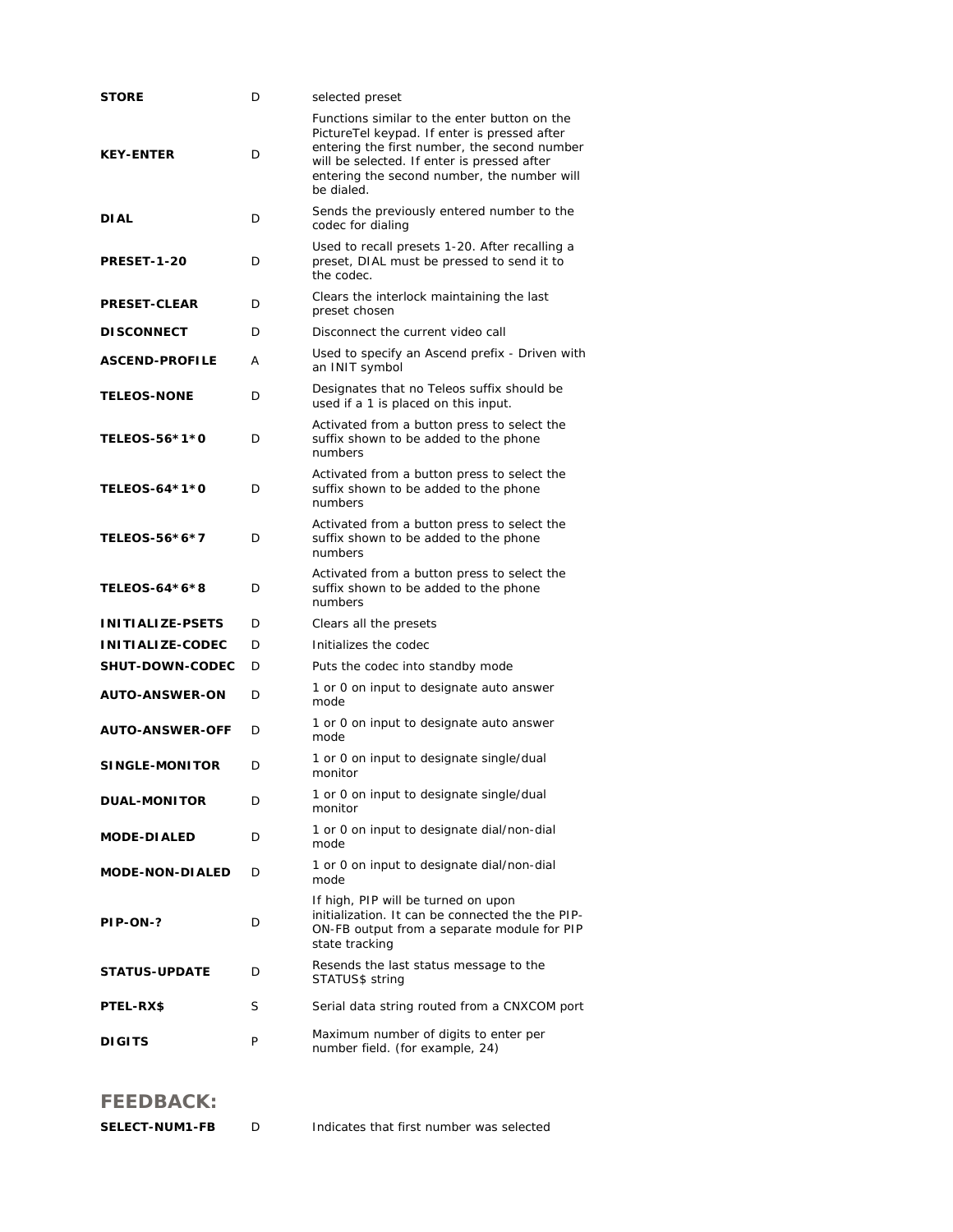| <b>STORE</b>            | D | selected preset                                                                                                                                                                                                                                          |
|-------------------------|---|----------------------------------------------------------------------------------------------------------------------------------------------------------------------------------------------------------------------------------------------------------|
| <b>KEY-ENTER</b>        | D | Functions similar to the enter button on the<br>PictureTel keypad. If enter is pressed after<br>entering the first number, the second number<br>will be selected. If enter is pressed after<br>entering the second number, the number will<br>be dialed. |
| <b>DIAL</b>             | D | Sends the previously entered number to the<br>codec for dialing                                                                                                                                                                                          |
| <b>PRESET-1-20</b>      | D | Used to recall presets 1-20. After recalling a<br>preset, DIAL must be pressed to send it to<br>the codec.                                                                                                                                               |
| <b>PRESET-CLEAR</b>     | D | Clears the interlock maintaining the last<br>preset chosen                                                                                                                                                                                               |
| <b>DISCONNECT</b>       | D | Disconnect the current video call                                                                                                                                                                                                                        |
| <b>ASCEND-PROFILE</b>   | А | Used to specify an Ascend prefix - Driven with<br>an INIT symbol                                                                                                                                                                                         |
| <b>TELEOS-NONE</b>      | D | Designates that no Teleos suffix should be<br>used if a 1 is placed on this input.                                                                                                                                                                       |
| TELEOS-56*1*0           | D | Activated from a button press to select the<br>suffix shown to be added to the phone<br>numbers                                                                                                                                                          |
| TELEOS-64*1*0           | D | Activated from a button press to select the<br>suffix shown to be added to the phone<br>numbers                                                                                                                                                          |
| TELEOS-56*6*7           | D | Activated from a button press to select the<br>suffix shown to be added to the phone<br>numbers                                                                                                                                                          |
| TELEOS-64*6*8           | D | Activated from a button press to select the<br>suffix shown to be added to the phone<br>numbers                                                                                                                                                          |
| INITIALIZE-PSETS        | D | Clears all the presets                                                                                                                                                                                                                                   |
| <b>INITIALIZE-CODEC</b> | D | Initializes the codec                                                                                                                                                                                                                                    |
| <b>SHUT-DOWN-CODEC</b>  | D | Puts the codec into standby mode                                                                                                                                                                                                                         |
| <b>AUTO-ANSWER-ON</b>   | D | 1 or 0 on input to designate auto answer<br>mode                                                                                                                                                                                                         |
| <b>AUTO-ANSWER-OFF</b>  | D | 1 or 0 on input to designate auto answer<br>mode                                                                                                                                                                                                         |
| <b>SINGLE-MONITOR</b>   | D | 1 or 0 on input to designate single/dual<br>monitor                                                                                                                                                                                                      |
| <b>DUAL-MONITOR</b>     | D | 1 or 0 on input to designate single/dual<br>monitor                                                                                                                                                                                                      |
| <b>MODE-DIALED</b>      | D | 1 or 0 on input to designate dial/non-dial<br>mode                                                                                                                                                                                                       |
| <b>MODE-NON-DIALED</b>  | D | 1 or 0 on input to designate dial/non-dial<br>mode                                                                                                                                                                                                       |
| PIP-ON-?                | D | If high, PIP will be turned on upon<br>initialization. It can be connected the the PIP-<br>ON-FB output from a separate module for PIP<br>state tracking                                                                                                 |
| <b>STATUS-UPDATE</b>    | D | Resends the last status message to the<br>STATUS\$ string                                                                                                                                                                                                |
| <b>PTEL-RX\$</b>        | S | Serial data string routed from a CNXCOM port                                                                                                                                                                                                             |
| <b>DIGITS</b>           | P | Maximum number of digits to enter per<br>number field. (for example, 24)                                                                                                                                                                                 |

## **FEEDBACK:**

| <b>SELECT-NUM1-FB</b> |  | Indicates that first number was selected |
|-----------------------|--|------------------------------------------|
|-----------------------|--|------------------------------------------|